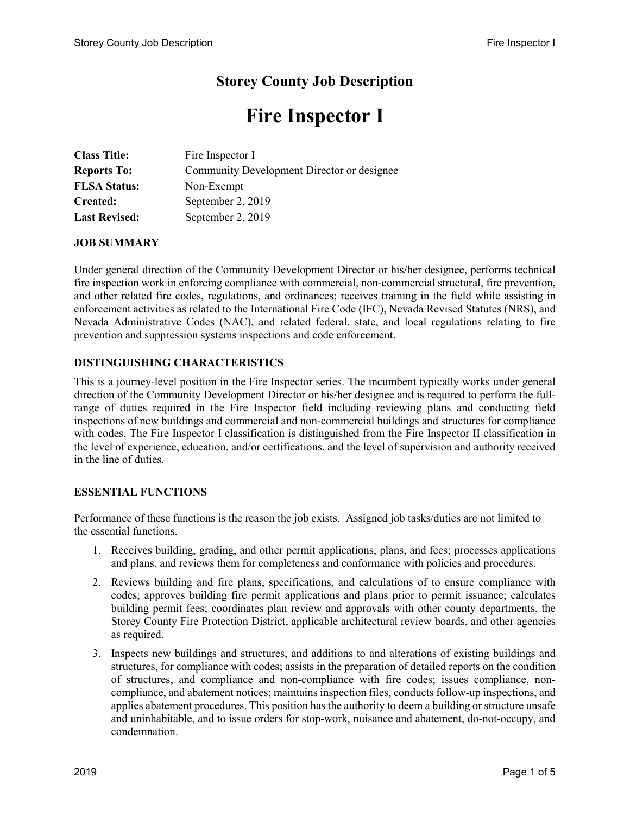# **Storey County Job Description**

# **Fire Inspector I**

| <b>Class Title:</b>  | Fire Inspector I                           |
|----------------------|--------------------------------------------|
| <b>Reports To:</b>   | Community Development Director or designee |
| <b>FLSA Status:</b>  | Non-Exempt                                 |
| Created:             | September 2, 2019                          |
| <b>Last Revised:</b> | September 2, 2019                          |

### **JOB SUMMARY**

Under general direction of the Community Development Director or his/her designee, performs technical fire inspection work in enforcing compliance with commercial, non-commercial structural, fire prevention, and other related fire codes, regulations, and ordinances; receives training in the field while assisting in enforcement activities as related to the International Fire Code (IFC), Nevada Revised Statutes (NRS), and Nevada Administrative Codes (NAC), and related federal, state, and local regulations relating to fire prevention and suppression systems inspections and code enforcement.

# **DISTINGUISHING CHARACTERISTICS**

This is a journey-level position in the Fire Inspector series. The incumbent typically works under general direction of the Community Development Director or his/her designee and is required to perform the fullrange of duties required in the Fire Inspector field including reviewing plans and conducting field inspections of new buildings and commercial and non-commercial buildings and structures for compliance with codes. The Fire Inspector I classification is distinguished from the Fire Inspector II classification in the level of experience, education, and/or certifications, and the level of supervision and authority received in the line of duties.

### **ESSENTIAL FUNCTIONS**

Performance of these functions is the reason the job exists. Assigned job tasks/duties are not limited to the essential functions.

- 1. Receives building, grading, and other permit applications, plans, and fees; processes applications and plans, and reviews them for completeness and conformance with policies and procedures.
- 2. Reviews building and fire plans, specifications, and calculations of to ensure compliance with codes; approves building fire permit applications and plans prior to permit issuance; calculates building permit fees; coordinates plan review and approvals with other county departments, the Storey County Fire Protection District, applicable architectural review boards, and other agencies as required.
- 3. Inspects new buildings and structures, and additions to and alterations of existing buildings and structures, for compliance with codes; assists in the preparation of detailed reports on the condition of structures, and compliance and non-compliance with fire codes; issues compliance, noncompliance, and abatement notices; maintains inspection files, conducts follow-up inspections, and applies abatement procedures. This position has the authority to deem a building or structure unsafe and uninhabitable, and to issue orders for stop-work, nuisance and abatement, do-not-occupy, and condemnation.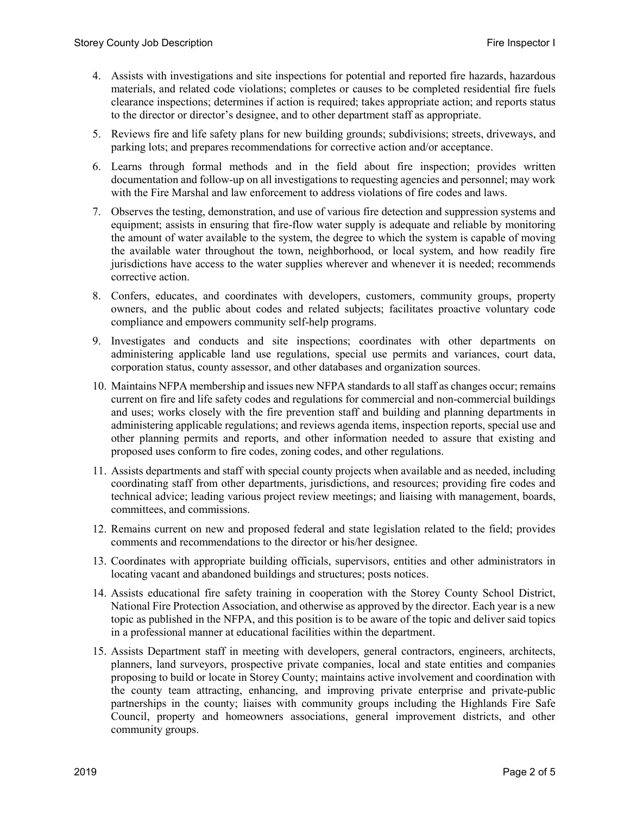- 4. Assists with investigations and site inspections for potential and reported fire hazards, hazardous materials, and related code violations; completes or causes to be completed residential fire fuels clearance inspections; determines if action is required; takes appropriate action; and reports status to the director or director's designee, and to other department staff as appropriate.
- 5. Reviews fire and life safety plans for new building grounds; subdivisions; streets, driveways, and parking lots; and prepares recommendations for corrective action and/or acceptance.
- 6. Learns through formal methods and in the field about fire inspection; provides written documentation and follow-up on all investigations to requesting agencies and personnel; may work with the Fire Marshal and law enforcement to address violations of fire codes and laws.
- 7. Observes the testing, demonstration, and use of various fire detection and suppression systems and equipment; assists in ensuring that fire-flow water supply is adequate and reliable by monitoring the amount of water available to the system, the degree to which the system is capable of moving the available water throughout the town, neighborhood, or local system, and how readily fire jurisdictions have access to the water supplies wherever and whenever it is needed; recommends corrective action.
- 8. Confers, educates, and coordinates with developers, customers, community groups, property owners, and the public about codes and related subjects; facilitates proactive voluntary code compliance and empowers community self-help programs.
- 9. Investigates and conducts and site inspections; coordinates with other departments on administering applicable land use regulations, special use permits and variances, court data, corporation status, county assessor, and other databases and organization sources.
- 10. Maintains NFPA membership and issues new NFPA standards to all staff as changes occur; remains current on fire and life safety codes and regulations for commercial and non-commercial buildings and uses; works closely with the fire prevention staff and building and planning departments in administering applicable regulations; and reviews agenda items, inspection reports, special use and other planning permits and reports, and other information needed to assure that existing and proposed uses conform to fire codes, zoning codes, and other regulations.
- 11. Assists departments and staff with special county projects when available and as needed, including coordinating staff from other departments, jurisdictions, and resources; providing fire codes and technical advice; leading various project review meetings; and liaising with management, boards, committees, and commissions.
- 12. Remains current on new and proposed federal and state legislation related to the field; provides comments and recommendations to the director or his/her designee.
- 13. Coordinates with appropriate building officials, supervisors, entities and other administrators in locating vacant and abandoned buildings and structures; posts notices.
- 14. Assists educational fire safety training in cooperation with the Storey County School District, National Fire Protection Association, and otherwise as approved by the director. Each year is a new topic as published in the NFPA, and this position is to be aware of the topic and deliver said topics in a professional manner at educational facilities within the department.
- 15. Assists Department staff in meeting with developers, general contractors, engineers, architects, planners, land surveyors, prospective private companies, local and state entities and companies proposing to build or locate in Storey County; maintains active involvement and coordination with the county team attracting, enhancing, and improving private enterprise and private-public partnerships in the county; liaises with community groups including the Highlands Fire Safe Council, property and homeowners associations, general improvement districts, and other community groups.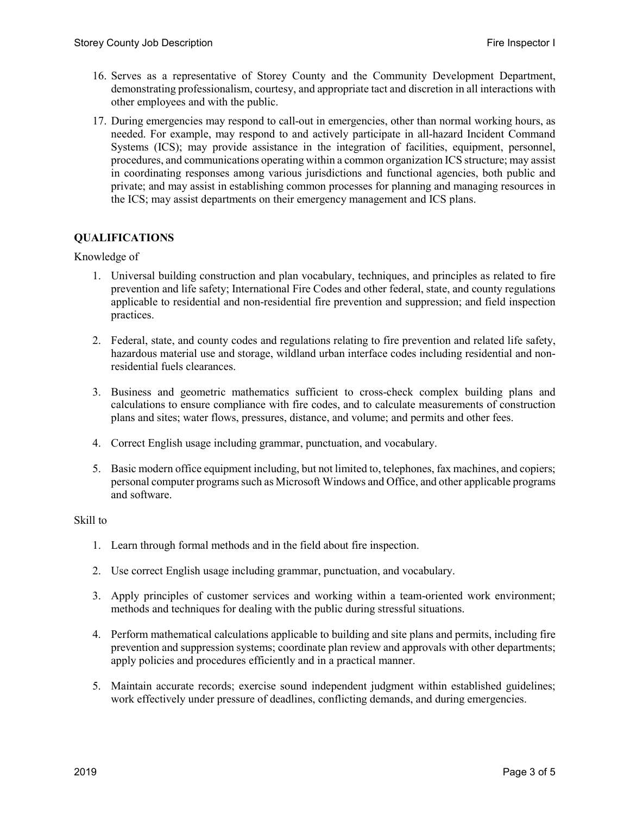- 16. Serves as a representative of Storey County and the Community Development Department, demonstrating professionalism, courtesy, and appropriate tact and discretion in all interactions with other employees and with the public.
- 17. During emergencies may respond to call-out in emergencies, other than normal working hours, as needed. For example, may respond to and actively participate in all-hazard Incident Command Systems (ICS); may provide assistance in the integration of facilities, equipment, personnel, procedures, and communications operating within a common organization ICS structure; may assist in coordinating responses among various jurisdictions and functional agencies, both public and private; and may assist in establishing common processes for planning and managing resources in the ICS; may assist departments on their emergency management and ICS plans.

# **QUALIFICATIONS**

### Knowledge of

- 1. Universal building construction and plan vocabulary, techniques, and principles as related to fire prevention and life safety; International Fire Codes and other federal, state, and county regulations applicable to residential and non-residential fire prevention and suppression; and field inspection practices.
- 2. Federal, state, and county codes and regulations relating to fire prevention and related life safety, hazardous material use and storage, wildland urban interface codes including residential and nonresidential fuels clearances.
- 3. Business and geometric mathematics sufficient to cross-check complex building plans and calculations to ensure compliance with fire codes, and to calculate measurements of construction plans and sites; water flows, pressures, distance, and volume; and permits and other fees.
- 4. Correct English usage including grammar, punctuation, and vocabulary.
- 5. Basic modern office equipment including, but not limited to, telephones, fax machines, and copiers; personal computer programs such as Microsoft Windows and Office, and other applicable programs and software.

### Skill to

- 1. Learn through formal methods and in the field about fire inspection.
- 2. Use correct English usage including grammar, punctuation, and vocabulary.
- 3. Apply principles of customer services and working within a team-oriented work environment; methods and techniques for dealing with the public during stressful situations.
- 4. Perform mathematical calculations applicable to building and site plans and permits, including fire prevention and suppression systems; coordinate plan review and approvals with other departments; apply policies and procedures efficiently and in a practical manner.
- 5. Maintain accurate records; exercise sound independent judgment within established guidelines; work effectively under pressure of deadlines, conflicting demands, and during emergencies.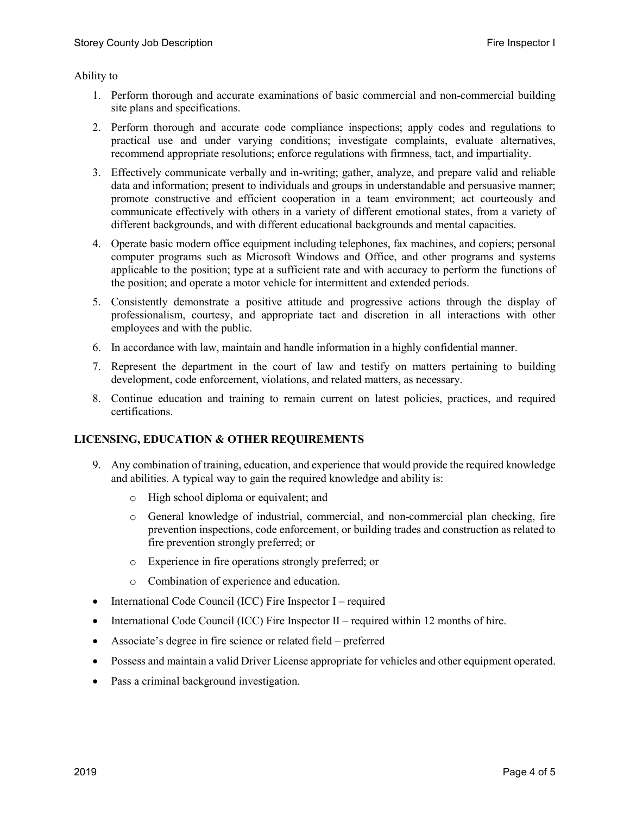Ability to

- 1. Perform thorough and accurate examinations of basic commercial and non-commercial building site plans and specifications.
- 2. Perform thorough and accurate code compliance inspections; apply codes and regulations to practical use and under varying conditions; investigate complaints, evaluate alternatives, recommend appropriate resolutions; enforce regulations with firmness, tact, and impartiality.
- 3. Effectively communicate verbally and in-writing; gather, analyze, and prepare valid and reliable data and information; present to individuals and groups in understandable and persuasive manner; promote constructive and efficient cooperation in a team environment; act courteously and communicate effectively with others in a variety of different emotional states, from a variety of different backgrounds, and with different educational backgrounds and mental capacities.
- 4. Operate basic modern office equipment including telephones, fax machines, and copiers; personal computer programs such as Microsoft Windows and Office, and other programs and systems applicable to the position; type at a sufficient rate and with accuracy to perform the functions of the position; and operate a motor vehicle for intermittent and extended periods.
- 5. Consistently demonstrate a positive attitude and progressive actions through the display of professionalism, courtesy, and appropriate tact and discretion in all interactions with other employees and with the public.
- 6. In accordance with law, maintain and handle information in a highly confidential manner.
- 7. Represent the department in the court of law and testify on matters pertaining to building development, code enforcement, violations, and related matters, as necessary.
- 8. Continue education and training to remain current on latest policies, practices, and required certifications.

# **LICENSING, EDUCATION & OTHER REQUIREMENTS**

- 9. Any combination of training, education, and experience that would provide the required knowledge and abilities. A typical way to gain the required knowledge and ability is:
	- o High school diploma or equivalent; and
	- o General knowledge of industrial, commercial, and non-commercial plan checking, fire prevention inspections, code enforcement, or building trades and construction as related to fire prevention strongly preferred; or
	- o Experience in fire operations strongly preferred; or
	- o Combination of experience and education.
- International Code Council (ICC) Fire Inspector I required
- International Code Council (ICC) Fire Inspector II required within 12 months of hire.
- Associate's degree in fire science or related field preferred
- Possess and maintain a valid Driver License appropriate for vehicles and other equipment operated.
- Pass a criminal background investigation.